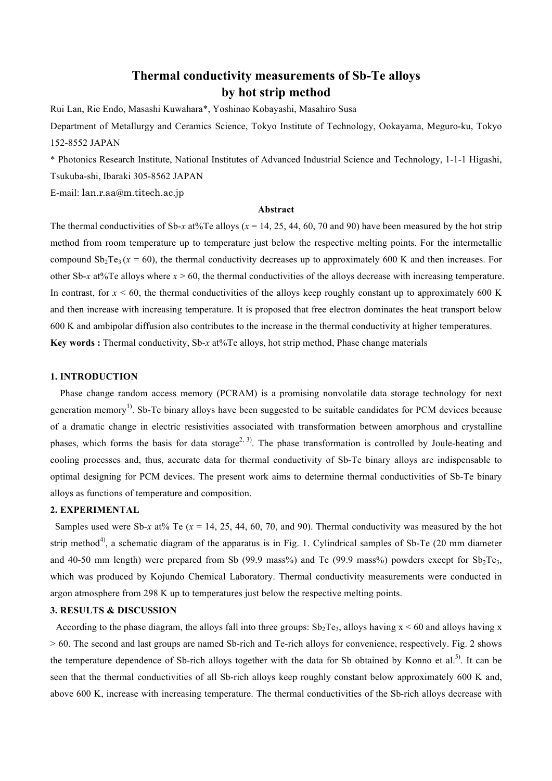# **Thermal conductivity measurements of Sb-Te alloys by hot strip method**

Rui Lan, Rie Endo, Masashi Kuwahara\*, Yoshinao Kobayashi, Masahiro Susa

Department of Metallurgy and Ceramics Science, Tokyo Institute of Technology, Ookayama, Meguro-ku, Tokyo 152-8552 JAPAN

\* Photonics Research Institute, National Institutes of Advanced Industrial Science and Technology, 1-1-1 Higashi, Tsukuba-shi, Ibaraki 305-8562 JAPAN

E-mail: lan.r.aa@m.titech.ac.jp

## **Abstract**

The thermal conductivities of Sb-*x* at%Te alloys ( $x = 14, 25, 44, 60, 70$  and 90) have been measured by the hot strip method from room temperature up to temperature just below the respective melting points. For the intermetallic compound  $Sb_2Te_3(x=60)$ , the thermal conductivity decreases up to approximately 600 K and then increases. For other Sb-*x* at%Te alloys where  $x > 60$ , the thermal conductivities of the alloys decrease with increasing temperature. In contrast, for  $x < 60$ , the thermal conductivities of the alloys keep roughly constant up to approximately 600 K and then increase with increasing temperature. It is proposed that free electron dominates the heat transport below 600 K and ambipolar diffusion also contributes to the increase in the thermal conductivity at higher temperatures. **Key words :** Thermal conductivity, Sb-*x* at%Te alloys, hot strip method, Phase change materials

## **1. INTRODUCTION**

Phase change random access memory (PCRAM) is a promising nonvolatile data storage technology for next generation memory<sup>1)</sup>. Sb-Te binary alloys have been suggested to be suitable candidates for PCM devices because of a dramatic change in electric resistivities associated with transformation between amorphous and crystalline phases, which forms the basis for data storage<sup>2, 3)</sup>. The phase transformation is controlled by Joule-heating and cooling processes and, thus, accurate data for thermal conductivity of Sb-Te binary alloys are indispensable to optimal designing for PCM devices. The present work aims to determine thermal conductivities of Sb-Te binary alloys as functions of temperature and composition.

#### **2. EXPERIMENTAL**

Samples used were Sb-*x* at% Te ( $x = 14, 25, 44, 60, 70,$  and 90). Thermal conductivity was measured by the hot strip method<sup>4)</sup>, a schematic diagram of the apparatus is in Fig. 1. Cylindrical samples of Sb-Te (20 mm diameter and 40-50 mm length) were prepared from Sb (99.9 mass%) and Te (99.9 mass%) powders except for  $Sb_2Te_3$ , which was produced by Kojundo Chemical Laboratory. Thermal conductivity measurements were conducted in argon atmosphere from 298 K up to temperatures just below the respective melting points.

## **3. RESULTS & DISCUSSION**

According to the phase diagram, the alloys fall into three groups:  $Sb_2Te_3$ , alloys having  $x < 60$  and alloys having x > 60. The second and last groups are named Sb-rich and Te-rich alloys for convenience, respectively. Fig. 2 shows the temperature dependence of Sb-rich alloys together with the data for Sb obtained by Konno et al.<sup>5)</sup>. It can be seen that the thermal conductivities of all Sb-rich alloys keep roughly constant below approximately 600 K and, above 600 K, increase with increasing temperature. The thermal conductivities of the Sb-rich alloys decrease with